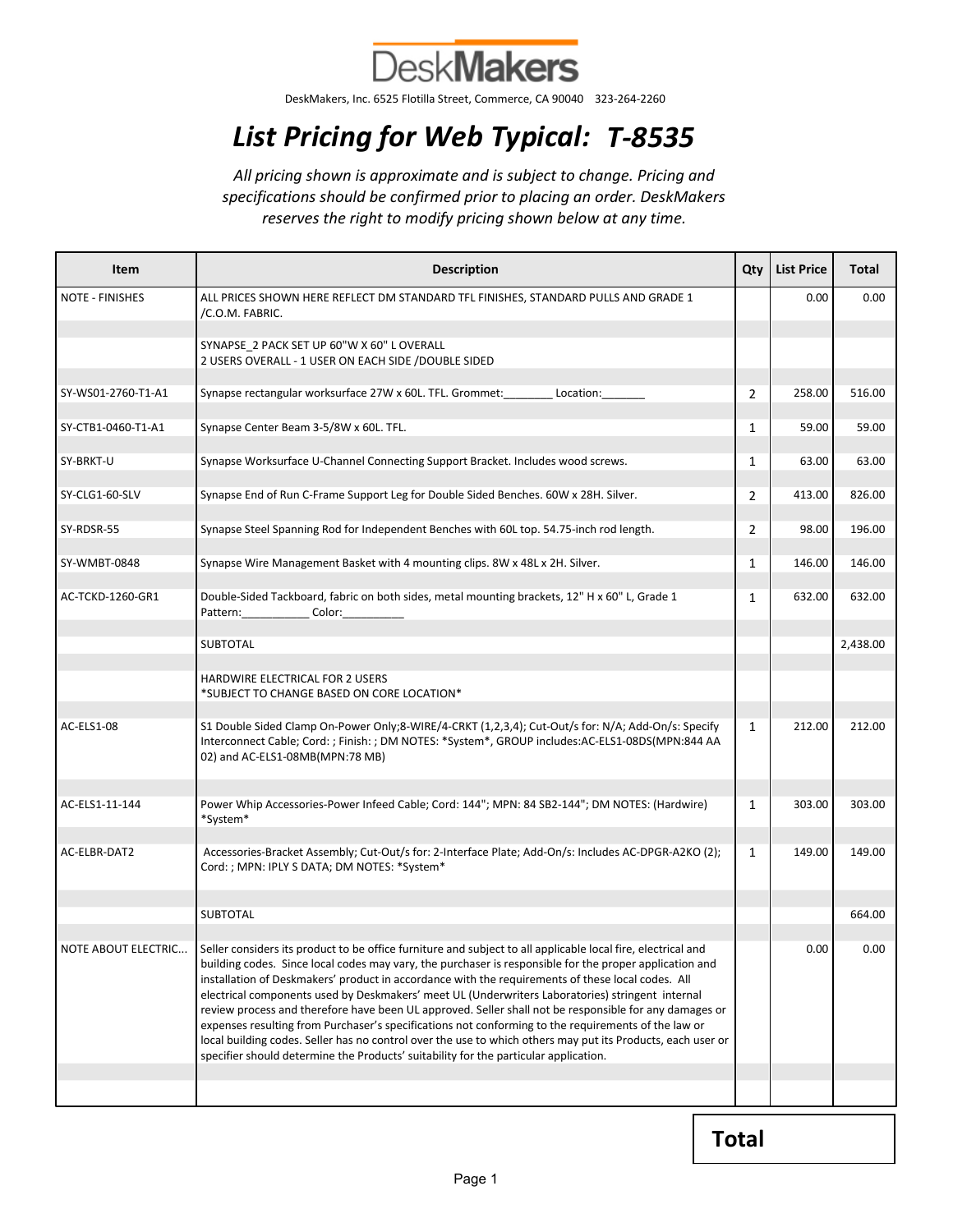

DeskMakers, Inc. 6525 Flotilla Street, Commerce, CA 90040 323-264-2260

## List Pricing for Web Typical: T-8535

All pricing shown is approximate and is subject to change. Pricing and specifications should be confirmed prior to placing an order. DeskMakers reserves the right to modify pricing shown below at any time.

| Item                   | <b>Description</b>                                                                                                                                                                                                                                                                                                                                                                                                                                                                                                                                                                                                                                                                                                                                                                                                                                       | Qty            | <b>List Price</b> | Total    |
|------------------------|----------------------------------------------------------------------------------------------------------------------------------------------------------------------------------------------------------------------------------------------------------------------------------------------------------------------------------------------------------------------------------------------------------------------------------------------------------------------------------------------------------------------------------------------------------------------------------------------------------------------------------------------------------------------------------------------------------------------------------------------------------------------------------------------------------------------------------------------------------|----------------|-------------------|----------|
| <b>NOTE - FINISHES</b> | ALL PRICES SHOWN HERE REFLECT DM STANDARD TFL FINISHES, STANDARD PULLS AND GRADE 1<br>/C.O.M. FABRIC.                                                                                                                                                                                                                                                                                                                                                                                                                                                                                                                                                                                                                                                                                                                                                    |                | 0.00              | 0.00     |
|                        | SYNAPSE 2 PACK SET UP 60"W X 60" L OVERALL<br>2 USERS OVERALL - 1 USER ON EACH SIDE / DOUBLE SIDED                                                                                                                                                                                                                                                                                                                                                                                                                                                                                                                                                                                                                                                                                                                                                       |                |                   |          |
| SY-WS01-2760-T1-A1     | Synapse rectangular worksurface 27W x 60L. TFL. Grommet:<br>Location:                                                                                                                                                                                                                                                                                                                                                                                                                                                                                                                                                                                                                                                                                                                                                                                    | $\overline{2}$ | 258.00            | 516.00   |
| SY-CTB1-0460-T1-A1     | Synapse Center Beam 3-5/8W x 60L. TFL.                                                                                                                                                                                                                                                                                                                                                                                                                                                                                                                                                                                                                                                                                                                                                                                                                   | 1              | 59.00             | 59.00    |
| SY-BRKT-U              | Synapse Worksurface U-Channel Connecting Support Bracket. Includes wood screws.                                                                                                                                                                                                                                                                                                                                                                                                                                                                                                                                                                                                                                                                                                                                                                          | 1              | 63.00             | 63.00    |
| SY-CLG1-60-SLV         | Synapse End of Run C-Frame Support Leg for Double Sided Benches. 60W x 28H. Silver.                                                                                                                                                                                                                                                                                                                                                                                                                                                                                                                                                                                                                                                                                                                                                                      | 2              | 413.00            | 826.00   |
| SY-RDSR-55             | Synapse Steel Spanning Rod for Independent Benches with 60L top. 54.75-inch rod length.                                                                                                                                                                                                                                                                                                                                                                                                                                                                                                                                                                                                                                                                                                                                                                  | $\overline{2}$ | 98.00             | 196.00   |
| SY-WMBT-0848           | Synapse Wire Management Basket with 4 mounting clips. 8W x 48L x 2H. Silver.                                                                                                                                                                                                                                                                                                                                                                                                                                                                                                                                                                                                                                                                                                                                                                             | 1              | 146.00            | 146.00   |
| AC-TCKD-1260-GR1       | Double-Sided Tackboard, fabric on both sides, metal mounting brackets, 12" H x 60" L, Grade 1<br>Pattern: Color:                                                                                                                                                                                                                                                                                                                                                                                                                                                                                                                                                                                                                                                                                                                                         | 1              | 632.00            | 632.00   |
|                        | <b>SUBTOTAL</b>                                                                                                                                                                                                                                                                                                                                                                                                                                                                                                                                                                                                                                                                                                                                                                                                                                          |                |                   | 2,438.00 |
|                        | <b>HARDWIRE ELECTRICAL FOR 2 USERS</b><br>*SUBJECT TO CHANGE BASED ON CORE LOCATION*                                                                                                                                                                                                                                                                                                                                                                                                                                                                                                                                                                                                                                                                                                                                                                     |                |                   |          |
| AC-ELS1-08             | S1 Double Sided Clamp On-Power Only;8-WIRE/4-CRKT (1,2,3,4); Cut-Out/s for: N/A; Add-On/s: Specify<br>Interconnect Cable; Cord: ; Finish: ; DM NOTES: *System*, GROUP includes:AC-ELS1-08DS(MPN:844 AA<br>02) and AC-ELS1-08MB(MPN:78 MB)                                                                                                                                                                                                                                                                                                                                                                                                                                                                                                                                                                                                                | $\mathbf{1}$   | 212.00            | 212.00   |
| AC-ELS1-11-144         | Power Whip Accessories-Power Infeed Cable; Cord: 144"; MPN: 84 SB2-144"; DM NOTES: (Hardwire)<br>*System*                                                                                                                                                                                                                                                                                                                                                                                                                                                                                                                                                                                                                                                                                                                                                | $\mathbf{1}$   | 303.00            | 303.00   |
| AC-ELBR-DAT2           | Accessories-Bracket Assembly; Cut-Out/s for: 2-Interface Plate; Add-On/s: Includes AC-DPGR-A2KO (2);<br>Cord: ; MPN: IPLY S DATA; DM NOTES: *System*                                                                                                                                                                                                                                                                                                                                                                                                                                                                                                                                                                                                                                                                                                     | $\mathbf{1}$   | 149.00            | 149.00   |
|                        | <b>SUBTOTAL</b>                                                                                                                                                                                                                                                                                                                                                                                                                                                                                                                                                                                                                                                                                                                                                                                                                                          |                |                   | 664.00   |
| NOTE ABOUT ELECTRIC    | Seller considers its product to be office furniture and subject to all applicable local fire, electrical and<br>building codes. Since local codes may vary, the purchaser is responsible for the proper application and<br>installation of Deskmakers' product in accordance with the requirements of these local codes. All<br>electrical components used by Deskmakers' meet UL (Underwriters Laboratories) stringent internal<br>review process and therefore have been UL approved. Seller shall not be responsible for any damages or<br>expenses resulting from Purchaser's specifications not conforming to the requirements of the law or<br>local building codes. Seller has no control over the use to which others may put its Products, each user or<br>specifier should determine the Products' suitability for the particular application. |                | <b>0.00</b>       | 0.00     |
|                        |                                                                                                                                                                                                                                                                                                                                                                                                                                                                                                                                                                                                                                                                                                                                                                                                                                                          |                |                   |          |

Total